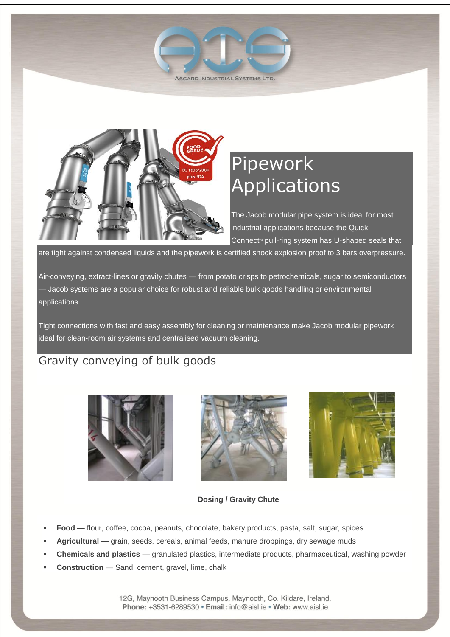



# Pipework Applications

The Jacob modular pipe system is ideal for most industrial applications because the Quick Connect<sup>™</sup> pull-ring system has U-shaped seals that

are tight against condensed liquids and the pipework is certified shock explosion proof to 3 bars overpressure.

Air-conveying, extract-lines or gravity chutes — from potato crisps to petrochemicals, sugar to semiconductors — Jacob systems are a popular choice for robust and reliable bulk goods handling or environmental applications.

Tight connections with fast and easy assembly for cleaning or maintenance make Jacob modular pipework ideal for clean-room air systems and centralised vacuum cleaning.

#### Gravity conveying of bulk goods







#### **Dosing / Gravity Chute**

- **Food** flour, coffee, cocoa, peanuts, chocolate, bakery products, pasta, salt, sugar, spices
- **Agricultural** grain, seeds, cereals, animal feeds, manure droppings, dry sewage muds
- **Chemicals and plastics** granulated plastics, intermediate products, pharmaceutical, washing powder
- **Construction** Sand, cement, gravel, lime, chalk

12G, Maynooth Business Campus, Maynooth, Co. Kildare, Ireland. Phone: +3531-6289530 · Email: info@aisl.ie · Web: www.aisl.ie